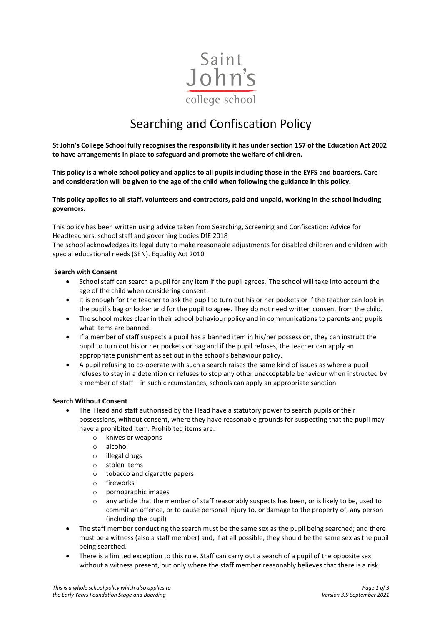

# Searching and Confiscation Policy

**St John's College School fully recognises the responsibility it has under section 157 of the Education Act 2002 to have arrangements in place to safeguard and promote the welfare of children.** 

**This policy is a whole school policy and applies to all pupils including those in the EYFS and boarders. Care and consideration will be given to the age of the child when following the guidance in this policy.** 

**This policy applies to all staff, volunteers and contractors, paid and unpaid, working in the school including governors.**

This policy has been written using advice taken from Searching, Screening and Confiscation: Advice for Headteachers, school staff and governing bodies DfE 2018

The school acknowledges its legal duty to make reasonable adjustments for disabled children and children with special educational needs (SEN). Equality Act 2010

#### **Search with Consent**

- School staff can search a pupil for any item if the pupil agrees. The school will take into account the age of the child when considering consent.
- It is enough for the teacher to ask the pupil to turn out his or her pockets or if the teacher can look in the pupil's bag or locker and for the pupil to agree. They do not need written consent from the child.
- The school makes clear in their school behaviour policy and in communications to parents and pupils what items are banned.
- If a member of staff suspects a pupil has a banned item in his/her possession, they can instruct the pupil to turn out his or her pockets or bag and if the pupil refuses, the teacher can apply an appropriate punishment as set out in the school's behaviour policy.
- A pupil refusing to co-operate with such a search raises the same kind of issues as where a pupil refuses to stay in a detention or refuses to stop any other unacceptable behaviour when instructed by a member of staff – in such circumstances, schools can apply an appropriate sanction

#### **Search Without Consent**

- The Head and staff authorised by the Head have a statutory power to search pupils or their possessions, without consent, where they have reasonable grounds for suspecting that the pupil may have a prohibited item. Prohibited items are:
	- o knives or weapons
	- o alcohol
	- o illegal drugs<br>o stolen items
	- stolen items
	- o tobacco and cigarette papers
	- o fireworks
	- o pornographic images
	- $\circ$  any article that the member of staff reasonably suspects has been, or is likely to be, used to commit an offence, or to cause personal injury to, or damage to the property of, any person (including the pupil)
- The staff member conducting the search must be the same sex as the pupil being searched; and there must be a witness (also a staff member) and, if at all possible, they should be the same sex as the pupil being searched.
- There is a limited exception to this rule. Staff can carry out a search of a pupil of the opposite sex without a witness present, but only where the staff member reasonably believes that there is a risk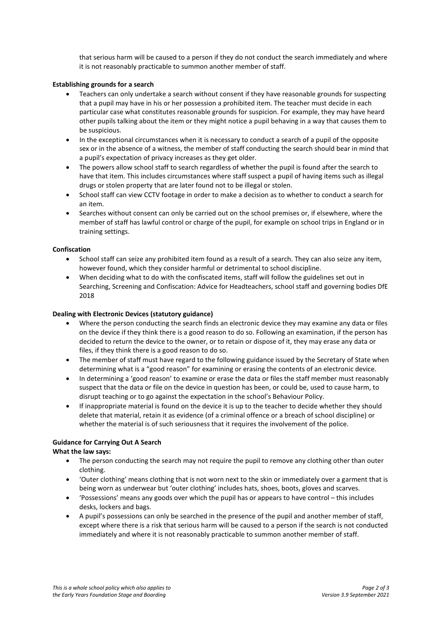that serious harm will be caused to a person if they do not conduct the search immediately and where it is not reasonably practicable to summon another member of staff.

# **Establishing grounds for a search**

- Teachers can only undertake a search without consent if they have reasonable grounds for suspecting that a pupil may have in his or her possession a prohibited item. The teacher must decide in each particular case what constitutes reasonable grounds for suspicion. For example, they may have heard other pupils talking about the item or they might notice a pupil behaving in a way that causes them to be suspicious.
- In the exceptional circumstances when it is necessary to conduct a search of a pupil of the opposite sex or in the absence of a witness, the member of staff conducting the search should bear in mind that a pupil's expectation of privacy increases as they get older.
- The powers allow school staff to search regardless of whether the pupil is found after the search to have that item. This includes circumstances where staff suspect a pupil of having items such as illegal drugs or stolen property that are later found not to be illegal or stolen.
- School staff can view CCTV footage in order to make a decision as to whether to conduct a search for an item.
- Searches without consent can only be carried out on the school premises or, if elsewhere, where the member of staff has lawful control or charge of the pupil, for example on school trips in England or in training settings.

#### **Confiscation**

- School staff can seize any prohibited item found as a result of a search. They can also seize any item, however found, which they consider harmful or detrimental to school discipline.
- When deciding what to do with the confiscated items, staff will follow the guidelines set out in Searching, Screening and Confiscation: Advice for Headteachers, school staff and governing bodies DfE 2018

#### **Dealing with Electronic Devices (statutory guidance)**

- Where the person conducting the search finds an electronic device they may examine any data or files on the device if they think there is a good reason to do so. Following an examination, if the person has decided to return the device to the owner, or to retain or dispose of it, they may erase any data or files, if they think there is a good reason to do so.
- The member of staff must have regard to the following guidance issued by the Secretary of State when determining what is a "good reason" for examining or erasing the contents of an electronic device.
- In determining a 'good reason' to examine or erase the data or files the staff member must reasonably suspect that the data or file on the device in question has been, or could be, used to cause harm, to disrupt teaching or to go against the expectation in the school's Behaviour Policy.
- If inappropriate material is found on the device it is up to the teacher to decide whether they should delete that material, retain it as evidence (of a criminal offence or a breach of school discipline) or whether the material is of such seriousness that it requires the involvement of the police.

# **Guidance for Carrying Out A Search**

# **What the law says:**

- The person conducting the search may not require the pupil to remove any clothing other than outer clothing.
- 'Outer clothing' means clothing that is not worn next to the skin or immediately over a garment that is being worn as underwear but 'outer clothing' includes hats, shoes, boots, gloves and scarves.
- 'Possessions' means any goods over which the pupil has or appears to have control this includes desks, lockers and bags.
- A pupil's possessions can only be searched in the presence of the pupil and another member of staff, except where there is a risk that serious harm will be caused to a person if the search is not conducted immediately and where it is not reasonably practicable to summon another member of staff.